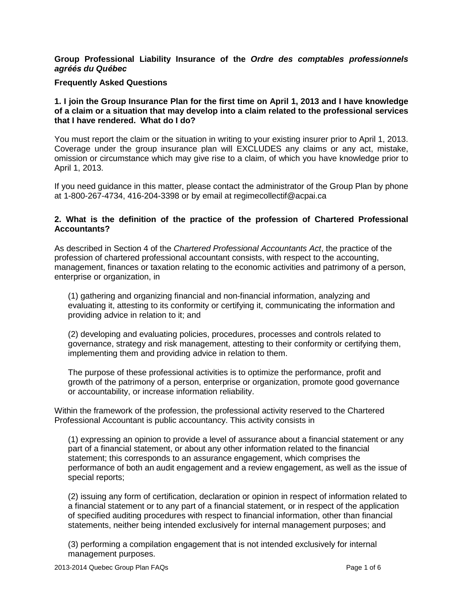**Group Professional Liability Insurance of the Ordre des comptables professionnels agr***ÈÈs* **du Qu***Èbec*

#### **Frequently Asked Questions**

#### **1. I join the Group Insurance Plan forthe first time on April 1, 2013 and I have knowledge of a claim or a situation thatmay develop into a claim related to the professional services that I have rendered. What do I do?**

You must report the claim or the situation in writing to your existing insurer prior to April 1, 2013. Coverage under the group insurance plan will EXCLUDES any claims or any act, mistake, omission or circumstance which may give rise to a claim, of which you have knowledge prior to April 1, 2013.

If you need guidance in this matter, please contact the administrator of the Group Plan by phone at 1-800-267-4734, 416-204-3398 or by email at [regimecollectif@acpai.ca](mailto:regimecollectif@acpai.ca)

#### **2. What is the definition of the practice of the profession of Chartered Professional Accountants?**

As described in Section 4 of the Chartered Professional Accountants Act, the practice of the profession of chartered professional accountant consists, with respect to the accounting, management, finances or taxation relating to the economic activities and patrimony of a person, enterprise or organization, in

(1) gathering and organizing financial and non-financial information, analyzing and evaluating it, attesting to its conformity or certifying it, communicating the information and providing advice in relation to it; and

(2) developing and evaluating policies, procedures, processes and controls related to governance, strategy and risk management, attesting to their conformity or certifying them, implementing them and providing advice in relation to them.

The purpose of these professional activities is to optimize the performance, profit and growth of the patrimony of a person, enterprise or organization, promote good governance or accountability, or increase information reliability.

Within the framework of the profession, the professional activity reserved to the Chartered Professional Accountant is public accountancy. This activity consists in

(1) expressing an opinion to provide a level of assurance about a financial statement or any part of a financial statement, or about any other information related to the financial statement; this corresponds to an assurance engagement, which comprises the performance of both an audit engagement and a review engagement, as well as the issue of special reports;

(2) issuing any form of certification, declaration or opinion in respect of information related to a financial statement or to any part of a financial statement, or in respect of the application of specified auditing procedures with respect to financial information, other than financial statements, neither being intended exclusively for internal management purposes; and

(3) performing a compilation engagement that is not intended exclusively for internal management purposes.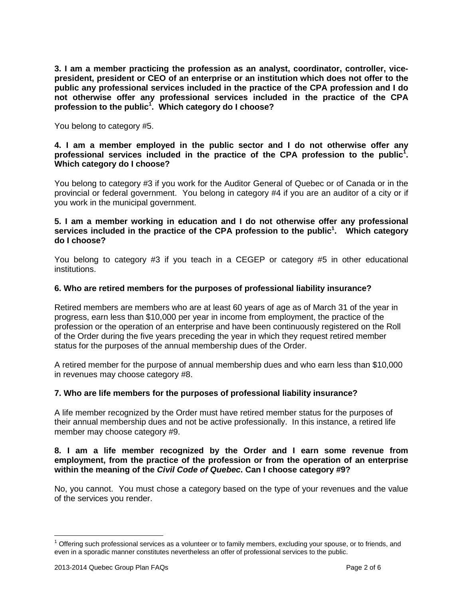**3. I am a member practicing the profession as an analyst, coordinator, controller, vice president, president or CEO of an enterprise oran institution which does not offer to the public any professional services included in the practice of the CPA profession and I do not otherwise offer any professional services included in the practice ofthe CPA profession to the public 1 . Which category do Ichoose?**

You belong to category #5.

## **4. I am a member employed in the public sector and I do not otherwise offer any professional services included in the practice of the CPA profession to the public 1 . Which category do Ichoose?**

You belong to category #3 if you work for the Auditor General of Quebec or of Canada or in the provincial or federal government. You belong in category #4 if you are an auditor of a city or if you work in the municipal government.

## **5. I am a member working in education and I do not otherwise offer any professional services included in the practice of the CPA profession to the public 1 . Which category do I choose?**

You belong to category #3 if you teach in a CEGEP or category #5 in other educational institutions.

# **6. Who are retired members for the purposes of professional liability insurance?**

Retired members are members who are at least 60 years of age as of March 31 of the year in progress, earn less than \$10,000 per year in income from employment, the practice of the profession or the operation of an enterprise and have been continuously registered on the Roll of the Order during the five years preceding the year in which they request retired member status for the purposes of the annual membership dues of the Order.

A retired member for the purpose of annual membership dues and who earn less than \$10,000 in revenues may choose category #8.

#### **7. Who are life members for the purposes of professional liability insurance?**

A life member recognized by the Order must have retired member status for the purposes of their annual membership dues and not be active professionally. In this instance, a retired life member may choose category #9.

## **8. I am a life member recognized by the Order and I earn some revenue from employment, from the practice of the profession or from the operation of an enterprise within the meaning of the Civil Code of Quebec. Can I choose category #9?**

No, you cannot. You must chose a category based on the type of your revenues and the value of the services you render.

 $1$  Offering such professional services as a volunteer or to family members, excluding your spouse, or to friends, and even in a sporadic manner constitutes nevertheless an offer of professional services to the public.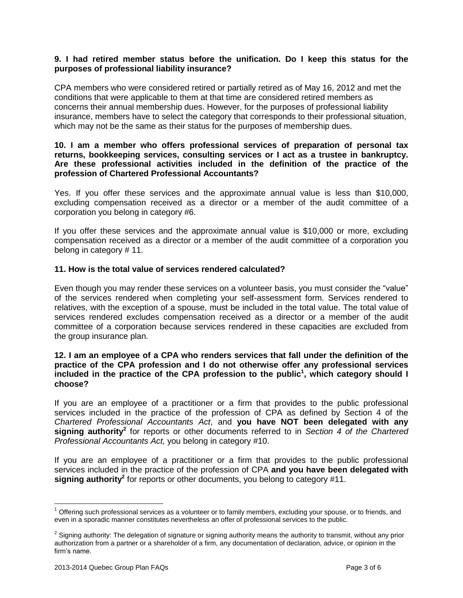## **9. I had retired member status before the unification. Do I keep this status for the purposes of professional liability insurance?**

CPA members who were considered retired or partially retired as of May 16, 2012 and met the conditions that were applicable to them at that time are considered retired members as concerns their annual membership dues. However, for the purposes of professional liability insurance, members have to select the category that corresponds to their professional situation, which may not be the same as their status for the purposes of membership dues.

#### **10. I am a member who offers professional services of preparation of personal tax returns, bookkeeping services, consulting services or I act as a trustee in bankruptcy. Are these professional activities included in the definition of the practice ofthe profession of Chartered Professional Accountants?**

Yes. If you offer these services and the approximate annual value is less than \$10,000, excluding compensation received as a director or a member of the audit committee of a corporation you belong in category #6.

If you offer these services and the approximate annual value is \$10,000 or more, excluding compensation received as a director or a member of the audit committee of a corporation you belong in category # 11.

## **11. How is the total value of services rendered calculated?**

Even though you may render these services on a volunteer basis, you must consider the "value" of the services rendered when completing your self-assessment form. Services rendered to relatives, with the exception of a spouse, must be included in the total value. The total value of services rendered excludes compensation received as a director or a member of the audit committee of a corporation because services rendered in these capacities are excluded from the group insurance plan.

## **12. I am an employee of a CPA who renders services that fall under the definition of the practice of the CPA profession and I do not otherwise offer any professional services included in the practice of the CPA profession to the public 1 , which category should I choose?**

If you are an employee of a practitioner or a firm that provides to the public professional services included in the practice of the profession of CPA as defined by Section 4 of the Chartered Professional Accountants Act, and **you have NOT been delegated with any signing authority<sup>2</sup>** for reports or other documents referred to in Section 4 of the Chartered Professional Accountants Act, you belong in category #10.

If you are an employee of a practitioner or a firm that provides to the public professional services included in the practice of the profession of CPA **and you have been delegated with signing authority<sup>2</sup> for reports or other documents, you belong to category #11.** 

 $1$  Offering such professional services as a volunteer or to family members, excluding your spouse, or to friends, and even in a sporadic manner constitutes nevertheless an offer of professional services to the public.

<sup>&</sup>lt;sup>2</sup> Signing authority: The delegation of signature or signing authority means the authority to transmit, without any prior<br>authorization from a partner or a shareholder of a firm, any documentation of declaration, advice, authorization from a partner or a shareholder of a firm, any documentation of declaration, advice, or opinion in the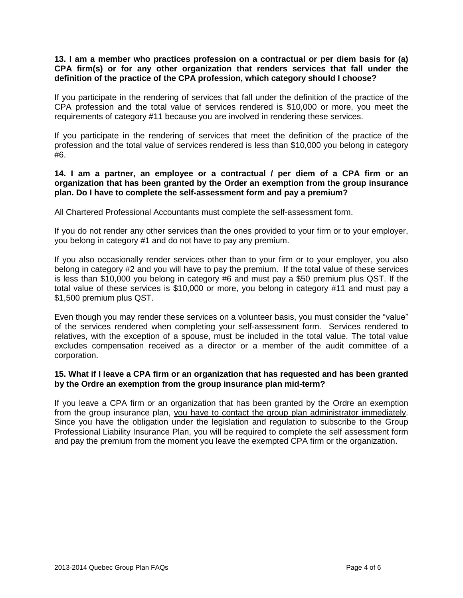## **13. I am a member who practices profession on a contractual or per diem basis for (a) CPA firm(s) or for any other organization that renders services that fall under the definition of the practice of the CPA profession, which category should I choose?**

If you participate in the rendering of services that fall under the definition of the practice of the CPA profession and the total value of services rendered is \$10,000 or more, you meet the requirements of category #11 because you are involved in rendering these services.

If you participate in the rendering of services that meet the definition of the practice of the profession and the total value of services rendered is less than \$10,000 you belong in category #6.

## **14. I am a partner, an employee or a contractual / per diem of a CPA firm or an organization that has been granted by the Order an exemption from the group insurance plan. Do I have to complete the self-assessment form andpay a premium?**

All Chartered Professional Accountants must complete the self-assessment form.

If you do not render any other services than the ones provided to your firm or to your employer, you belong in category #1 and do not have to pay any premium.

If you also occasionally render services other than to your firm or to your employer, you also belong in category #2 and you will have to pay the premium. If the total value of these services is less than \$10,000 you belong in category #6 and must pay a \$50 premium plus QST. If the total value of these services is \$10,000 or more, you belong in category #11 and must pay a \$1,500 premium plus QST.

Even though you may render these services on a volunteer basis, you must consider the "value" of the services rendered when completing your self-assessment form. Services rendered to relatives, with the exception of a spouse, must be included in the total value. The total value excludes compensation received as a director or a member of the audit committee of a corporation.

## **15. What if I leave a CPA firm or an organization that has requested and has been granted by the Ordre an exemption from the group insurance plan mid-term?**

If you leave a CPA firm or an organization that has been granted by the Ordre an exemption from the group insurance plan, you have to contact the group plan administrator immediately. Since you have the obligation under the legislation and regulation to subscribe to the Group Professional Liability Insurance Plan, you will be required to complete the self assessment form and pay the premium from the moment you leave the exempted CPA firm or the organization.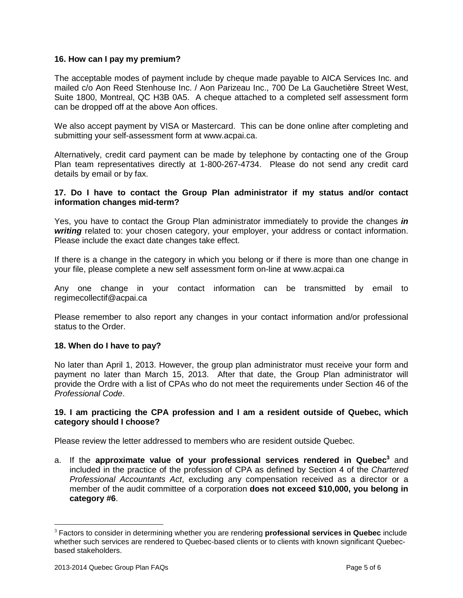## **16. How can I pay my premium?**

The acceptable modes of payment include by cheque made payable to AICA Services Inc. and mate complete compute the controlled controlled to AICA Services Inc.<br>The acceptable modes of payment include by cheque made payable to AICA Services Inc. and<br>mailed c/o Aon Reed Stenhouse Inc. / Aon Parizeau Inc., 700 De Suite 1800, Montreal, QC H3B 0A5. A cheque attached to a completed self assessment form can be dropped off at the above Aon offices.

We also accept payment by VISA or Mastercard. This can be done online after completing and submitting your self-assessment form at [www.acpai.ca.](http://www.acpai.ca.)

Alternatively, credit card payment can be made by telephone by contacting one of the Group Plan team representatives directly at 1-800-267-4734. Please do not send any credit card details by email or by fax.

#### **17. Do I have to contact the Group Plan administrator if my status and/or contact information changes mid-term?**

Yes, you have to contact the Group Plan administrator immediately to provide the changes **in writing** related to: your chosen category, your employer, your address or contact information. Please include the exact date changes take effect.

If there is a change in the category in which you belong or if there is more than one change in your file, please complete a new self assessment form on-line at [www.acpai.ca](http://www.acpai.ca)

Any one change in your contact information can be transmitted by email to [regimecollectif@acpai.ca](mailto:regimecollectif@acpai.ca)

Please remember to also report any changes in your contact information and/or professional status to the Order.

#### **18. When do I have to pay?**

No later than April 1, 2013. However, the group plan administrator must receive your form and payment no later than March 15, 2013. After that date, the Group Plan administrator will provide the Ordre with a list of CPAs who do not meet the requirements under Section 46 of the Professional Code.

#### **19. I am practicing the CPA profession and I am a resident outside of Quebec, which category should I choose?**

Please review the letter addressed to members who are resident outside Quebec.

a. If the **approximate value of your professional services rendered in Quebec <sup>3</sup>** and included in the practice of the profession of CPA as defined by Section 4 of the Chartered Professional Accountants Act, excluding any compensation received as a director or a member of the audit committee of a corporation **does not exceed \$10,000, you belong in category #6**.

<sup>3</sup> Factors to consider in determining whether you are rendering **professional services in Quebec** include whether such services are rendered to Quebec-based clients orto clients with known significant Quebec based stakeholders.